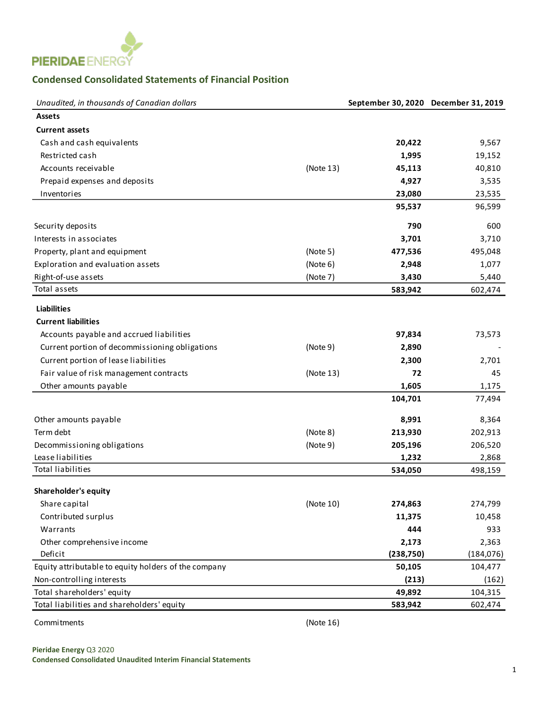

## **Condensed Consolidated Statements of Financial Position**

| Unaudited, in thousands of Canadian dollars                | September 30, 2020 December 31, 2019 |            |
|------------------------------------------------------------|--------------------------------------|------------|
| <b>Assets</b>                                              |                                      |            |
| <b>Current assets</b>                                      |                                      |            |
| Cash and cash equivalents                                  | 20,422                               | 9,567      |
| Restricted cash                                            | 1,995                                | 19,152     |
| Accounts receivable<br>(Note 13)                           | 45,113                               | 40,810     |
| Prepaid expenses and deposits                              | 4,927                                | 3,535      |
| Inventories                                                | 23,080                               | 23,535     |
|                                                            | 95,537                               | 96,599     |
| Security deposits                                          | 790                                  | 600        |
| Interests in associates                                    | 3,701                                | 3,710      |
| Property, plant and equipment<br>(Note 5)                  | 477,536                              | 495,048    |
| Exploration and evaluation assets<br>(Note 6)              | 2,948                                | 1,077      |
| Right-of-use assets<br>(Note 7)                            | 3,430                                | 5,440      |
| Total assets                                               | 583,942                              | 602,474    |
|                                                            |                                      |            |
| <b>Liabilities</b>                                         |                                      |            |
| <b>Current liabilities</b>                                 |                                      |            |
| Accounts payable and accrued liabilities                   | 97,834                               | 73,573     |
| Current portion of decommissioning obligations<br>(Note 9) | 2,890                                |            |
| Current portion of lease liabilities                       | 2,300                                | 2,701      |
| Fair value of risk management contracts<br>(Note 13)       | 72                                   | 45         |
| Other amounts payable                                      | 1,605                                | 1,175      |
|                                                            | 104,701                              | 77,494     |
| Other amounts payable                                      | 8,991                                | 8,364      |
| Term debt<br>(Note 8)                                      | 213,930                              | 202,913    |
| Decommissioning obligations<br>(Note 9)                    | 205,196                              | 206,520    |
| Lease liabilities                                          | 1,232                                | 2,868      |
| <b>Total liabilities</b>                                   | 534,050                              | 498,159    |
|                                                            |                                      |            |
| Shareholder's equity                                       |                                      |            |
| Share capital<br>(Note 10)                                 | 274,863                              | 274,799    |
| Contributed surplus                                        | 11,375                               | 10,458     |
| Warrants                                                   | 444                                  | 933        |
| Other comprehensive income                                 | 2,173                                | 2,363      |
| Deficit                                                    | (238,750)                            | (184, 076) |
| Equity attributable to equity holders of the company       | 50,105                               | 104,477    |
| Non-controlling interests                                  | (213)                                | (162)      |
| Total shareholders' equity                                 | 49,892                               | 104,315    |
| Total liabilities and shareholders' equity                 | 583,942                              | 602,474    |

Commitments (Note 16)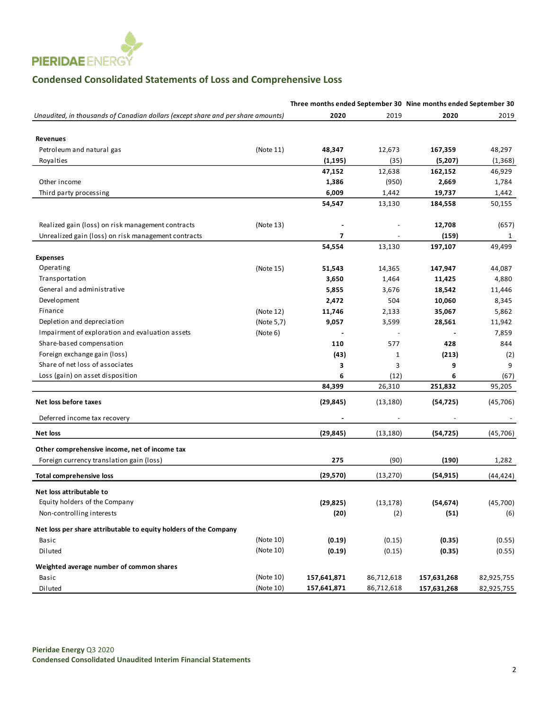

# **Condensed Consolidated Statements of Loss and Comprehensive Loss**

|                                                                                  |            | Three months ended September 30 Nine months ended September 30 |            |                |            |
|----------------------------------------------------------------------------------|------------|----------------------------------------------------------------|------------|----------------|------------|
| Unaudited, in thousands of Canadian dollars (except share and per share amounts) |            | 2020                                                           | 2019       | 2020           | 2019       |
|                                                                                  |            |                                                                |            |                |            |
| <b>Revenues</b>                                                                  |            |                                                                |            |                |            |
| Petroleum and natural gas                                                        | (Note 11)  | 48,347                                                         | 12,673     | 167,359        | 48,297     |
| Royalties                                                                        |            | (1, 195)                                                       | (35)       | (5,207)        | (1,368)    |
|                                                                                  |            | 47,152                                                         | 12,638     | 162,152        | 46,929     |
| Other income                                                                     |            | 1,386                                                          | (950)      | 2,669          | 1,784      |
| Third party processing                                                           |            | 6,009                                                          | 1,442      | 19,737         | 1,442      |
|                                                                                  |            | 54,547                                                         | 13,130     | 184,558        | 50,155     |
| Realized gain (loss) on risk management contracts                                | (Note 13)  |                                                                |            | 12,708         | (657)      |
| Unrealized gain (loss) on risk management contracts                              |            | $\overline{\mathbf{z}}$                                        |            | (159)          | 1          |
|                                                                                  |            | 54,554                                                         | 13,130     | 197,107        | 49,499     |
| <b>Expenses</b>                                                                  |            |                                                                |            |                |            |
| Operating                                                                        | (Note 15)  | 51,543                                                         | 14,365     | 147,947        | 44,087     |
| Transportation                                                                   |            | 3,650                                                          | 1,464      | 11,425         | 4,880      |
| General and administrative                                                       |            | 5,855                                                          | 3,676      | 18,542         | 11,446     |
| Development                                                                      |            | 2,472                                                          | 504        | 10,060         | 8,345      |
| Finance                                                                          | (Note 12)  | 11,746                                                         | 2,133      | 35,067         | 5,862      |
| Depletion and depreciation                                                       | (Note 5,7) | 9,057                                                          | 3,599      | 28,561         | 11,942     |
| Impairment of exploration and evaluation assets                                  | (Note 6)   |                                                                |            |                | 7,859      |
| Share-based compensation                                                         |            | 110                                                            | 577        | 428            | 844        |
| Foreign exchange gain (loss)                                                     |            | (43)                                                           | 1          | (213)          | (2)        |
| Share of net loss of associates                                                  |            | 3                                                              | 3          | 9              | 9          |
| Loss (gain) on asset disposition                                                 |            | 6                                                              | (12)       | 6              | (67)       |
|                                                                                  |            | 84,399                                                         | 26,310     | 251,832        | 95,205     |
| Net loss before taxes                                                            |            | (29, 845)                                                      | (13, 180)  | (54, 725)      | (45, 706)  |
| Deferred income tax recovery                                                     |            |                                                                |            | $\overline{a}$ |            |
| <b>Net loss</b>                                                                  |            | (29,845)                                                       | (13, 180)  | (54, 725)      | (45, 706)  |
| Other comprehensive income, net of income tax                                    |            |                                                                |            |                |            |
| Foreign currency translation gain (loss)                                         |            | 275                                                            | (90)       | (190)          | 1,282      |
| <b>Total comprehensive loss</b>                                                  |            | (29, 570)                                                      | (13, 270)  | (54, 915)      | (44, 424)  |
| Net loss attributable to                                                         |            |                                                                |            |                |            |
| Equity holders of the Company                                                    |            | (29, 825)                                                      | (13, 178)  | (54, 674)      | (45, 700)  |
| Non-controlling interests                                                        |            | (20)                                                           | (2)        | (51)           | (6)        |
| Net loss per share attributable to equity holders of the Company                 |            |                                                                |            |                |            |
| Basic                                                                            | (Note 10)  | (0.19)                                                         | (0.15)     | (0.35)         | (0.55)     |
| Diluted                                                                          | (Note 10)  | (0.19)                                                         | (0.15)     | (0.35)         | (0.55)     |
| Weighted average number of common shares                                         |            |                                                                |            |                |            |
| Basic                                                                            | (Note 10)  | 157,641,871                                                    | 86,712,618 | 157,631,268    | 82,925,755 |
| Diluted                                                                          | (Note 10)  | 157,641,871                                                    | 86,712,618 | 157,631,268    | 82,925,755 |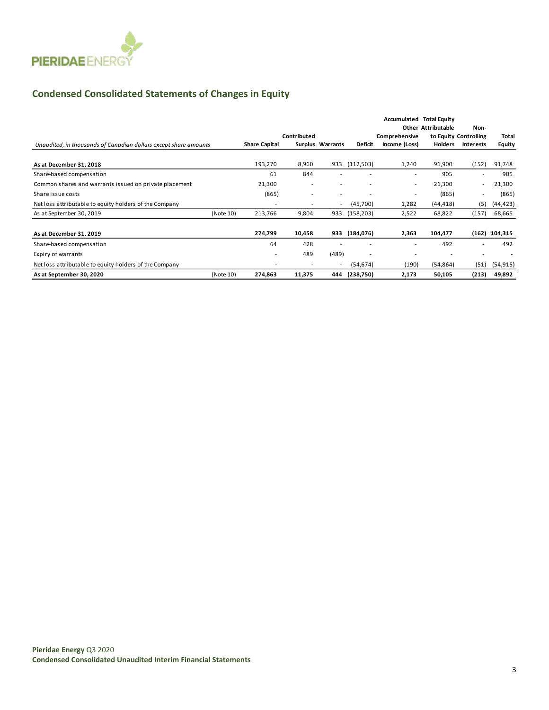

## **Condensed Consolidated Statements of Changes in Equity**

|                                                                  |           |                          | Contributed              |                          |            | Comprehensive            | <b>Accumulated Total Equity</b><br><b>Other Attributable</b> | Non-<br>to Equity Controlling | <b>Total</b>  |
|------------------------------------------------------------------|-----------|--------------------------|--------------------------|--------------------------|------------|--------------------------|--------------------------------------------------------------|-------------------------------|---------------|
| Unaudited, in thousands of Canadian dollars except share amounts |           | <b>Share Capital</b>     |                          | Surplus Warrants         | Deficit    | Income (Loss)            | <b>Holders</b>                                               | <b>Interests</b>              | <b>Equity</b> |
| As at December 31, 2018                                          |           | 193,270                  | 8,960                    | 933                      | (112,503)  | 1,240                    | 91,900                                                       | (152)                         | 91,748        |
| Share-based compensation                                         |           | 61                       | 844                      |                          |            |                          | 905                                                          |                               | 905           |
| Common shares and warrants issued on private placement           |           | 21,300                   | ۰                        |                          | ٠          | $\overline{\phantom{a}}$ | 21,300                                                       | $\overline{\phantom{a}}$      | 21,300        |
| Share issue costs                                                |           | (865)                    | ۰                        | $\overline{\phantom{a}}$ | ٠          | $\overline{\phantom{a}}$ | (865)                                                        | $\overline{\phantom{a}}$      | (865)         |
| Net loss attributable to equity holders of the Company           |           | $\overline{\phantom{a}}$ | ۰                        | $\overline{\phantom{a}}$ | (45,700)   | 1,282                    | (44, 418)                                                    | (5)                           | (44, 423)     |
| As at September 30, 2019                                         | (Note 10) | 213,766                  | 9,804                    | 933                      | (158, 203) | 2,522                    | 68,822                                                       | (157)                         | 68,665        |
| As at December 31, 2019                                          |           | 274,799                  | 10,458                   | 933                      | (184, 076) | 2,363                    | 104,477                                                      | (162)                         | 104,315       |
| Share-based compensation                                         |           | 64                       | 428                      |                          |            | ۰                        | 492                                                          |                               | 492           |
| Expiry of warrants                                               |           | $\overline{\phantom{a}}$ | 489                      | (489)                    | ٠          | $\overline{\phantom{a}}$ |                                                              | $\overline{\phantom{a}}$      |               |
| Net loss attributable to equity holders of the Company           |           |                          | $\overline{\phantom{a}}$ | $\overline{\phantom{a}}$ | (54, 674)  | (190)                    | (54, 864)                                                    | (51)                          | (54, 915)     |
| As at September 30, 2020                                         | (Note 10) | 274,863                  | 11,375                   | 444                      | (238,750)  | 2,173                    | 50,105                                                       | (213)                         | 49,892        |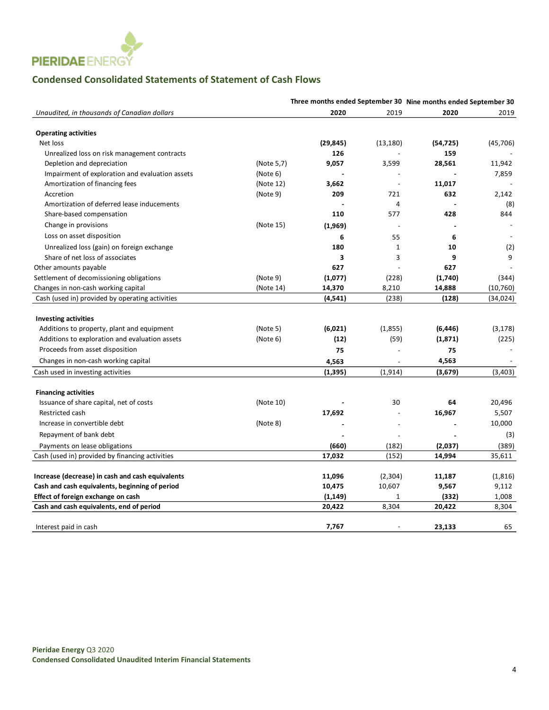

# **Condensed Consolidated Statements of Statement of Cash Flows**

|                                                  | Three months ended September 30 Nine months ended September 30 |           |                |           |           |  |
|--------------------------------------------------|----------------------------------------------------------------|-----------|----------------|-----------|-----------|--|
| Unaudited, in thousands of Canadian dollars      |                                                                | 2020      | 2019           | 2020      | 2019      |  |
| <b>Operating activities</b>                      |                                                                |           |                |           |           |  |
| Net loss                                         |                                                                | (29, 845) | (13, 180)      | (54, 725) | (45, 706) |  |
| Unrealized loss on risk management contracts     |                                                                | 126       |                | 159       |           |  |
| Depletion and depreciation                       | (Note 5,7)                                                     | 9,057     | 3,599          | 28,561    | 11,942    |  |
| Impairment of exploration and evaluation assets  | (Note 6)                                                       |           |                |           | 7,859     |  |
| Amortization of financing fees                   | (Note 12)                                                      | 3,662     | $\overline{a}$ | 11.017    |           |  |
| Accretion                                        | (Note 9)                                                       | 209       | 721            | 632       | 2,142     |  |
| Amortization of deferred lease inducements       |                                                                |           | 4              |           | (8)       |  |
| Share-based compensation                         |                                                                | 110       | 577            | 428       | 844       |  |
| Change in provisions                             | (Note 15)                                                      | (1,969)   |                |           |           |  |
| Loss on asset disposition                        |                                                                | 6         | 55             | 6         |           |  |
| Unrealized loss (gain) on foreign exchange       |                                                                | 180       | $\mathbf{1}$   | 10        | (2)       |  |
| Share of net loss of associates                  |                                                                | 3         | 3              | 9         | 9         |  |
| Other amounts payable                            |                                                                | 627       |                | 627       |           |  |
| Settlement of decomissioning obligations         | (Note 9)                                                       | (1,077)   | (228)          | (1,740)   | (344)     |  |
| Changes in non-cash working capital              | (Note 14)                                                      | 14,370    | 8,210          | 14,888    | (10, 760) |  |
| Cash (used in) provided by operating activities  |                                                                | (4, 541)  | (238)          | (128)     | (34, 024) |  |
|                                                  |                                                                |           |                |           |           |  |
| <b>Investing activities</b>                      |                                                                |           |                |           |           |  |
| Additions to property, plant and equipment       | (Note 5)                                                       | (6,021)   | (1,855)        | (6, 446)  | (3, 178)  |  |
| Additions to exploration and evaluation assets   | (Note 6)                                                       | (12)      | (59)           | (1, 871)  | (225)     |  |
| Proceeds from asset disposition                  |                                                                | 75        |                | 75        |           |  |
| Changes in non-cash working capital              |                                                                | 4,563     |                | 4,563     |           |  |
| Cash used in investing activities                |                                                                | (1, 395)  | (1, 914)       | (3,679)   | (3,403)   |  |
|                                                  |                                                                |           |                |           |           |  |
| <b>Financing activities</b>                      |                                                                |           |                |           |           |  |
| Issuance of share capital, net of costs          | (Note 10)                                                      |           | 30             | 64        | 20,496    |  |
| Restricted cash                                  |                                                                | 17,692    |                | 16,967    | 5,507     |  |
| Increase in convertible debt                     | (Note 8)                                                       |           | $\overline{a}$ |           | 10,000    |  |
| Repayment of bank debt                           |                                                                |           |                |           | (3)       |  |
| Payments on lease obligations                    |                                                                | (660)     | (182)          | (2,037)   | (389)     |  |
| Cash (used in) provided by financing activities  |                                                                | 17,032    | (152)          | 14,994    | 35,611    |  |
|                                                  |                                                                |           |                |           |           |  |
| Increase (decrease) in cash and cash equivalents |                                                                | 11,096    | (2,304)        | 11,187    | (1,816)   |  |
| Cash and cash equivalents, beginning of period   |                                                                | 10,475    | 10,607         | 9,567     | 9,112     |  |
| Effect of foreign exchange on cash               |                                                                | (1, 149)  | 1              | (332)     | 1,008     |  |
| Cash and cash equivalents, end of period         |                                                                | 20,422    | 8,304          | 20,422    | 8,304     |  |
|                                                  |                                                                |           |                |           |           |  |
| Interest paid in cash                            |                                                                | 7,767     |                | 23,133    | 65        |  |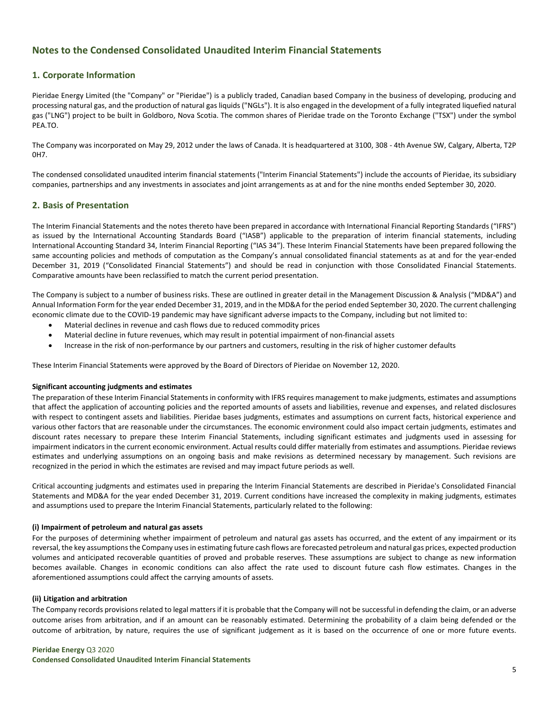## **Notes to the Condensed Consolidated Unaudited Interim Financial Statements**

### **1. Corporate Information**

Pieridae Energy Limited (the "Company" or "Pieridae") is a publicly traded, Canadian based Company in the business of developing, producing and processing natural gas, and the production of natural gas liquids ("NGLs"). It is also engaged in the development of a fully integrated liquefied natural gas ("LNG") project to be built in Goldboro, Nova Scotia. The common shares of Pieridae trade on the Toronto Exchange ("TSX") under the symbol PEA.TO.

The Company was incorporated on May 29, 2012 under the laws of Canada. It is headquartered at 3100, 308 - 4th Avenue SW, Calgary, Alberta, T2P 0H7.

The condensed consolidated unaudited interim financial statements ("Interim Financial Statements") include the accounts of Pieridae, its subsidiary companies, partnerships and any investments in associates and joint arrangements as at and for the nine months ended September 30, 2020.

### **2. Basis of Presentation**

The Interim Financial Statements and the notes thereto have been prepared in accordance with International Financial Reporting Standards ("IFRS") as issued by the International Accounting Standards Board ("IASB") applicable to the preparation of interim financial statements, including International Accounting Standard 34, Interim Financial Reporting ("IAS 34"). These Interim Financial Statements have been prepared following the same accounting policies and methods of computation as the Company's annual consolidated financial statements as at and for the year-ended December 31, 2019 ("Consolidated Financial Statements") and should be read in conjunction with those Consolidated Financial Statements. Comparative amounts have been reclassified to match the current period presentation.

The Company is subject to a number of business risks. These are outlined in greater detail in the Management Discussion & Analysis ("MD&A") and Annual Information Form for the year ended December 31, 2019, and in the MD&A for the period ended September 30, 2020. The current challenging economic climate due to the COVID-19 pandemic may have significant adverse impacts to the Company, including but not limited to:

- Material declines in revenue and cash flows due to reduced commodity prices
- Material decline in future revenues, which may result in potential impairment of non-financial assets
- Increase in the risk of non-performance by our partners and customers, resulting in the risk of higher customer defaults

These Interim Financial Statements were approved by the Board of Directors of Pieridae on November 12, 2020.

#### **Significant accounting judgments and estimates**

The preparation of these Interim Financial Statements in conformity with IFRS requires management to make judgments, estimates and assumptions that affect the application of accounting policies and the reported amounts of assets and liabilities, revenue and expenses, and related disclosures with respect to contingent assets and liabilities. Pieridae bases judgments, estimates and assumptions on current facts, historical experience and various other factors that are reasonable under the circumstances. The economic environment could also impact certain judgments, estimates and discount rates necessary to prepare these Interim Financial Statements, including significant estimates and judgments used in assessing for impairment indicators in the current economic environment. Actual results could differ materially from estimates and assumptions. Pieridae reviews estimates and underlying assumptions on an ongoing basis and make revisions as determined necessary by management. Such revisions are recognized in the period in which the estimates are revised and may impact future periods as well.

Critical accounting judgments and estimates used in preparing the Interim Financial Statements are described in Pieridae's Consolidated Financial Statements and MD&A for the year ended December 31, 2019. Current conditions have increased the complexity in making judgments, estimates and assumptions used to prepare the Interim Financial Statements, particularly related to the following:

#### **(i) Impairment of petroleum and natural gas assets**

For the purposes of determining whether impairment of petroleum and natural gas assets has occurred, and the extent of any impairment or its reversal, the key assumptions the Company uses in estimating future cash flows are forecasted petroleum and natural gas prices, expected production volumes and anticipated recoverable quantities of proved and probable reserves. These assumptions are subject to change as new information becomes available. Changes in economic conditions can also affect the rate used to discount future cash flow estimates. Changes in the aforementioned assumptions could affect the carrying amounts of assets.

#### **(ii) Litigation and arbitration**

The Company records provisions related to legal matters if it is probable that the Company will not be successful in defending the claim, or an adverse outcome arises from arbitration, and if an amount can be reasonably estimated. Determining the probability of a claim being defended or the outcome of arbitration, by nature, requires the use of significant judgement as it is based on the occurrence of one or more future events.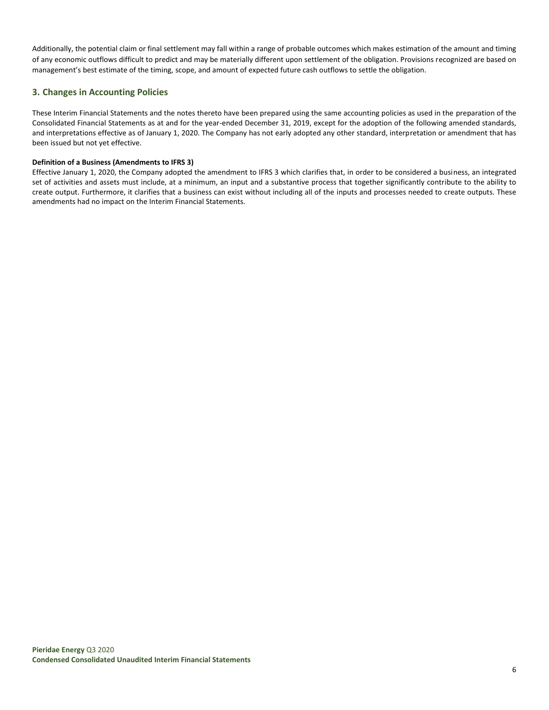Additionally, the potential claim or final settlement may fall within a range of probable outcomes which makes estimation of the amount and timing of any economic outflows difficult to predict and may be materially different upon settlement of the obligation. Provisions recognized are based on management's best estimate of the timing, scope, and amount of expected future cash outflows to settle the obligation.

### **3. Changes in Accounting Policies**

These Interim Financial Statements and the notes thereto have been prepared using the same accounting policies as used in the preparation of the Consolidated Financial Statements as at and for the year-ended December 31, 2019, except for the adoption of the following amended standards, and interpretations effective as of January 1, 2020. The Company has not early adopted any other standard, interpretation or amendment that has been issued but not yet effective.

### **Definition of a Business (Amendments to IFRS 3)**

Effective January 1, 2020, the Company adopted the amendment to IFRS 3 which clarifies that, in order to be considered a business, an integrated set of activities and assets must include, at a minimum, an input and a substantive process that together significantly contribute to the ability to create output. Furthermore, it clarifies that a business can exist without including all of the inputs and processes needed to create outputs. These amendments had no impact on the Interim Financial Statements.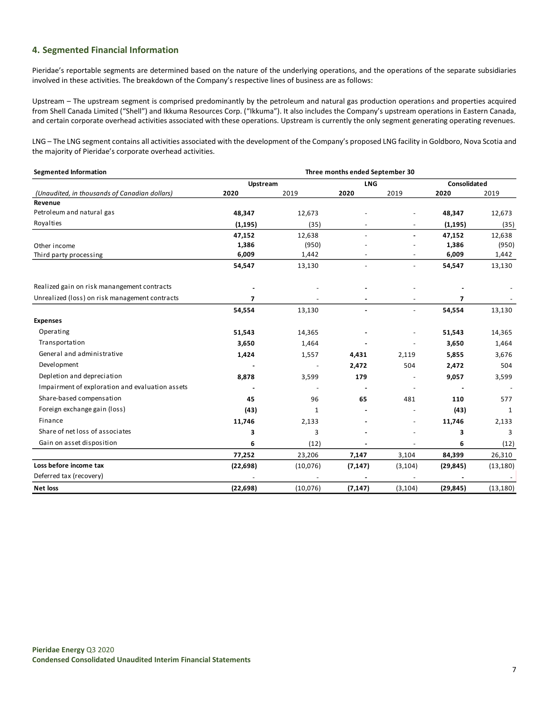### **4. Segmented Financial Information**

Pieridae's reportable segments are determined based on the nature of the underlying operations, and the operations of the separate subsidiaries involved in these activities. The breakdown of the Company's respective lines of business are as follows:

Upstream – The upstream segment is comprised predominantly by the petroleum and natural gas production operations and properties acquired from Shell Canada Limited ("Shell") and Ikkuma Resources Corp. ("Ikkuma"). It also includes the Company's upstream operations in Eastern Canada, and certain corporate overhead activities associated with these operations. Upstream is currently the only segment generating operating revenues.

LNG – The LNG segment contains all activities associated with the development of the Company's proposed LNG facility in Goldboro, Nova Scotia and the majority of Pieridae's corporate overhead activities.

| <b>Segmented Information</b>                    | Three months ended September 30 |              |                |                |                |           |  |
|-------------------------------------------------|---------------------------------|--------------|----------------|----------------|----------------|-----------|--|
|                                                 | Upstream                        |              | <b>LNG</b>     |                | Consolidated   |           |  |
| (Unaudited, in thousands of Canadian dollars)   | 2020                            | 2019         | 2020           | 2019           | 2020           | 2019      |  |
| Revenue                                         |                                 |              |                |                |                |           |  |
| Petroleum and natural gas                       | 48,347                          | 12,673       |                |                | 48,347         | 12,673    |  |
| Royalties                                       | (1, 195)                        | (35)         |                |                | (1, 195)       | (35)      |  |
|                                                 | 47,152                          | 12,638       |                |                | 47,152         | 12,638    |  |
| Other income                                    | 1,386                           | (950)        |                |                | 1,386          | (950)     |  |
| Third party processing                          | 6,009                           | 1,442        |                |                | 6,009          | 1,442     |  |
|                                                 | 54,547                          | 13,130       |                |                | 54,547         | 13,130    |  |
| Realized gain on risk manangement contracts     |                                 |              |                |                |                |           |  |
| Unrealized (loss) on risk management contracts  | $\overline{ }$                  |              |                |                | $\overline{ }$ |           |  |
|                                                 | 54,554                          | 13,130       | $\blacksquare$ | $\overline{a}$ | 54,554         | 13,130    |  |
| <b>Expenses</b>                                 |                                 |              |                |                |                |           |  |
| Operating                                       | 51,543                          | 14,365       |                |                | 51,543         | 14,365    |  |
| Transportation                                  | 3,650                           | 1,464        |                |                | 3,650          | 1,464     |  |
| General and administrative                      | 1,424                           | 1,557        | 4,431          | 2,119          | 5,855          | 3,676     |  |
| Development                                     |                                 |              | 2,472          | 504            | 2,472          | 504       |  |
| Depletion and depreciation                      | 8,878                           | 3,599        | 179            |                | 9,057          | 3,599     |  |
| Impairment of exploration and evaluation assets |                                 |              |                |                |                |           |  |
| Share-based compensation                        | 45                              | 96           | 65             | 481            | 110            | 577       |  |
| Foreign exchange gain (loss)                    | (43)                            | $\mathbf{1}$ |                |                | (43)           | 1         |  |
| Finance                                         | 11,746                          | 2,133        |                |                | 11,746         | 2,133     |  |
| Share of net loss of associates                 | 3                               | 3            |                |                | 3              | 3         |  |
| Gain on asset disposition                       | 6                               | (12)         |                |                | 6              | (12)      |  |
|                                                 | 77,252                          | 23,206       | 7,147          | 3,104          | 84,399         | 26,310    |  |
| Loss before income tax                          | (22, 698)                       | (10,076)     | (7, 147)       | (3, 104)       | (29, 845)      | (13, 180) |  |
| Deferred tax (recovery)                         |                                 |              |                |                |                |           |  |
| <b>Net loss</b>                                 | (22, 698)                       | (10,076)     | (7, 147)       | (3, 104)       | (29, 845)      | (13, 180) |  |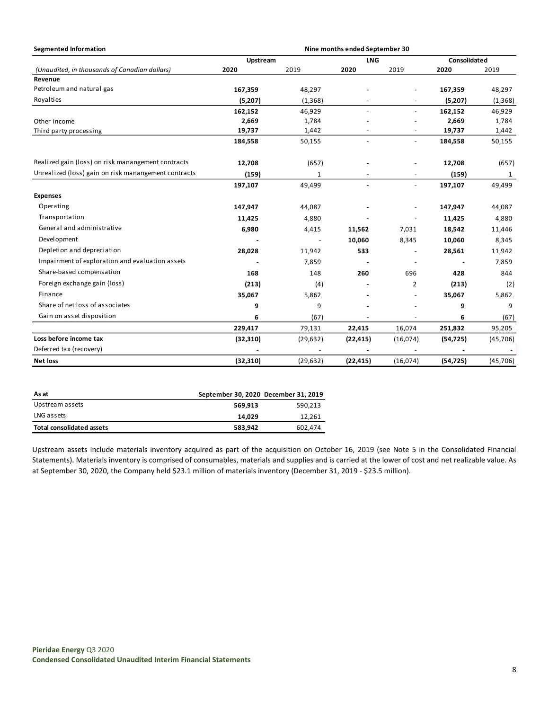| <b>Segmented Information</b>                         | Nine months ended September 30 |           |            |                          |              |           |
|------------------------------------------------------|--------------------------------|-----------|------------|--------------------------|--------------|-----------|
|                                                      | Upstream                       |           | <b>LNG</b> |                          | Consolidated |           |
| (Unaudited, in thousands of Canadian dollars)        | 2020                           | 2019      | 2020       | 2019                     | 2020         | 2019      |
| Revenue                                              |                                |           |            |                          |              |           |
| Petroleum and natural gas                            | 167,359                        | 48,297    |            |                          | 167,359      | 48,297    |
| Royalties                                            | (5,207)                        | (1, 368)  |            |                          | (5, 207)     | (1,368)   |
|                                                      | 162,152                        | 46,929    |            | ÷                        | 162,152      | 46,929    |
| Other income                                         | 2,669                          | 1,784     |            |                          | 2,669        | 1,784     |
| Third party processing                               | 19,737                         | 1,442     |            | $\overline{\phantom{a}}$ | 19,737       | 1,442     |
|                                                      | 184,558                        | 50,155    |            | $\blacksquare$           | 184,558      | 50,155    |
| Realized gain (loss) on risk manangement contracts   | 12,708                         | (657)     |            | $\overline{\phantom{a}}$ | 12,708       | (657)     |
| Unrealized (loss) gain on risk manangement contracts | (159)                          | 1         |            |                          | (159)        | 1         |
|                                                      | 197,107                        | 49,499    |            | $\blacksquare$           | 197,107      | 49,499    |
| <b>Expenses</b>                                      |                                |           |            |                          |              |           |
| Operating                                            | 147,947                        | 44,087    |            | ٠                        | 147,947      | 44,087    |
| Transportation                                       | 11,425                         | 4,880     |            | ÷,                       | 11,425       | 4,880     |
| General and administrative                           | 6,980                          | 4,415     | 11,562     | 7,031                    | 18,542       | 11,446    |
| Development                                          |                                |           | 10,060     | 8,345                    | 10,060       | 8,345     |
| Depletion and depreciation                           | 28,028                         | 11,942    | 533        |                          | 28,561       | 11,942    |
| Impairment of exploration and evaluation assets      |                                | 7,859     |            | $\overline{\phantom{a}}$ |              | 7,859     |
| Share-based compensation                             | 168                            | 148       | 260        | 696                      | 428          | 844       |
| Foreign exchange gain (loss)                         | (213)                          | (4)       |            | $\overline{2}$           | (213)        | (2)       |
| Finance                                              | 35,067                         | 5,862     |            | ٠                        | 35,067       | 5,862     |
| Share of net loss of associates                      | 9                              | 9         |            | ٠                        | 9            | 9         |
| Gain on asset disposition                            | 6                              | (67)      |            |                          | 6            | (67)      |
|                                                      | 229,417                        | 79,131    | 22,415     | 16,074                   | 251,832      | 95,205    |
| Loss before income tax                               | (32, 310)                      | (29, 632) | (22, 415)  | (16,074)                 | (54, 725)    | (45, 706) |
| Deferred tax (recovery)                              |                                |           |            |                          |              |           |
| <b>Net loss</b>                                      | (32, 310)                      | (29, 632) | (22, 415)  | (16,074)                 | (54, 725)    | (45, 706) |

| As at                     | September 30, 2020 December 31, 2019 |         |
|---------------------------|--------------------------------------|---------|
| Upstream assets           | 569.913                              | 590.213 |
| LNG assets                | 14.029                               | 12,261  |
| Total consolidated assets | 583.942                              | 602.474 |

Upstream assets include materials inventory acquired as part of the acquisition on October 16, 2019 (see Note 5 in the Consolidated Financial Statements). Materials inventory is comprised of consumables, materials and supplies and is carried at the lower of cost and net realizable value. As at September 30, 2020, the Company held \$23.1 million of materials inventory (December 31, 2019 - \$23.5 million).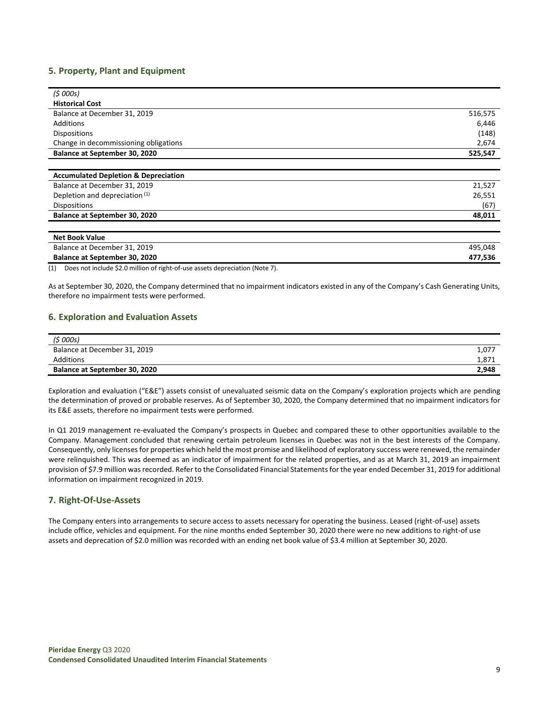### **5. Property, Plant and Equipment**

| (5000s)                                         |         |
|-------------------------------------------------|---------|
| <b>Historical Cost</b>                          |         |
| Balance at December 31, 2019                    | 516,575 |
| Additions                                       | 6,446   |
| Dispositions                                    | (148)   |
| Change in decommissioning obligations           | 2,674   |
| Balance at September 30, 2020                   | 525,547 |
|                                                 |         |
| <b>Accumulated Depletion &amp; Depreciation</b> |         |
| Balance at December 31, 2019                    | 21,527  |
| Deeleting nud dependented (1)                   | 20 FFA  |

| .<br>Depletion and depreciation (1)  | 26.551 |
|--------------------------------------|--------|
| <b>Dispositions</b>                  | (67)   |
| <b>Balance at September 30, 2020</b> | 48.011 |
|                                      |        |

| Net Book Value                |         |
|-------------------------------|---------|
| Balance at December 31, 2019  | 495.048 |
| Balance at September 30, 2020 | 477.536 |

(1) Does not include \$2.0 million of right-of-use assets depreciation (Note 7).

As at September 30, 2020, the Company determined that no impairment indicators existed in any of the Company's Cash Generating Units, therefore no impairment tests were performed.

### **6. Exploration and Evaluation Assets**

| (5000s)                              |       |
|--------------------------------------|-------|
| Balance at December 31, 2019         | 1,077 |
| Additions                            | 1,871 |
| <b>Balance at September 30, 2020</b> | 2,948 |

Exploration and evaluation ("E&E") assets consist of unevaluated seismic data on the Company's exploration projects which are pending the determination of proved or probable reserves. As of September 30, 2020, the Company determined that no impairment indicators for its E&E assets, therefore no impairment tests were performed.

In Q1 2019 management re-evaluated the Company's prospects in Quebec and compared these to other opportunities available to the Company. Management concluded that renewing certain petroleum licenses in Quebec was not in the best interests of the Company. Consequently, only licenses for properties which held the most promise and likelihood of exploratory success were renewed, the remainder were relinquished. This was deemed as an indicator of impairment for the related properties, and as at March 31, 2019 an impairment provision of \$7.9 million was recorded. Refer to the Consolidated Financial Statements for the year ended December 31, 2019 for additional information on impairment recognized in 2019.

### **7. Right-Of-Use-Assets**

The Company enters into arrangements to secure access to assets necessary for operating the business. Leased (right-of-use) assets include office, vehicles and equipment. For the nine months ended September 30, 2020 there were no new additions to right-of use assets and deprecation of \$2.0 million was recorded with an ending net book value of \$3.4 million at September 30, 2020.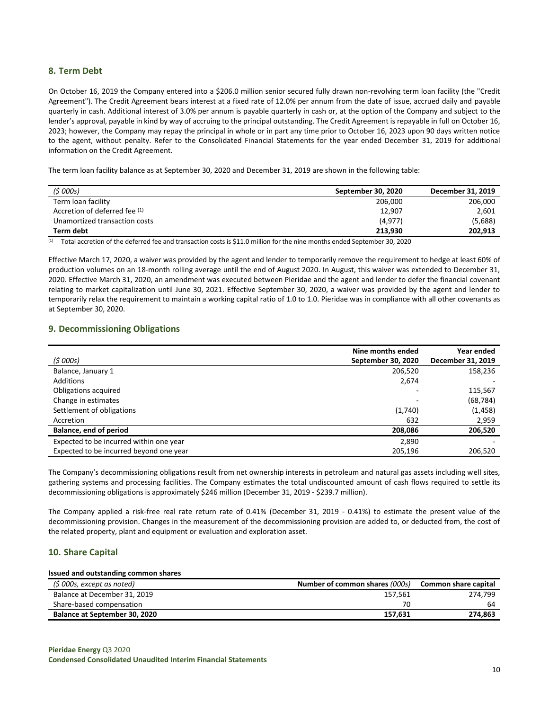### **8. Term Debt**

On October 16, 2019 the Company entered into a \$206.0 million senior secured fully drawn non-revolving term loan facility (the "Credit Agreement"). The Credit Agreement bears interest at a fixed rate of 12.0% per annum from the date of issue, accrued daily and payable quarterly in cash. Additional interest of 3.0% per annum is payable quarterly in cash or, at the option of the Company and subject to the lender's approval, payable in kind by way of accruing to the principal outstanding. The Credit Agreement is repayable in full on October 16, 2023; however, the Company may repay the principal in whole or in part any time prior to October 16, 2023 upon 90 days written notice to the agent, without penalty. Refer to the Consolidated Financial Statements for the year ended December 31, 2019 for additional information on the Credit Agreement.

The term loan facility balance as at September 30, 2020 and December 31, 2019 are shown in the following table:

| (\$ 000s)                     | September 30, 2020 | December 31, 2019 |
|-------------------------------|--------------------|-------------------|
| Term loan facility            | 206,000            | 206,000           |
| Accretion of deferred fee (1) | 12.907             | 2.601             |
| Unamortized transaction costs | (4.977)            | (5,688)           |
| Term debt                     | 213.930            | 202.913           |

(1) Total accretion of the deferred fee and transaction costs is \$11.0 million for the nine months ended September 30, 2020

Effective March 17, 2020, a waiver was provided by the agent and lender to temporarily remove the requirement to hedge at least 60% of production volumes on an 18-month rolling average until the end of August 2020. In August, this waiver was extended to December 31, 2020. Effective March 31, 2020, an amendment was executed between Pieridae and the agent and lender to defer the financial covenant relating to market capitalization until June 30, 2021. Effective September 30, 2020, a waiver was provided by the agent and lender to temporarily relax the requirement to maintain a working capital ratio of 1.0 to 1.0. Pieridae was in compliance with all other covenants as at September 30, 2020.

### **9. Decommissioning Obligations**

|                                         | Nine months ended  | Year ended        |
|-----------------------------------------|--------------------|-------------------|
| (5000s)                                 | September 30, 2020 | December 31, 2019 |
| Balance, January 1                      | 206,520            | 158,236           |
| Additions                               | 2,674              |                   |
| Obligations acquired                    |                    | 115,567           |
| Change in estimates                     |                    | (68, 784)         |
| Settlement of obligations               | (1,740)            | (1, 458)          |
| Accretion                               | 632                | 2,959             |
| Balance, end of period                  | 208,086            | 206,520           |
| Expected to be incurred within one year | 2,890              |                   |
| Expected to be incurred beyond one year | 205,196            | 206,520           |

The Company's decommissioning obligations result from net ownership interests in petroleum and natural gas assets including well sites, gathering systems and processing facilities. The Company estimates the total undiscounted amount of cash flows required to settle its decommissioning obligations is approximately \$246 million (December 31, 2019 - \$239.7 million).

The Company applied a risk-free real rate return rate of 0.41% (December 31, 2019 - 0.41%) to estimate the present value of the decommissioning provision. Changes in the measurement of the decommissioning provision are added to, or deducted from, the cost of the related property, plant and equipment or evaluation and exploration asset.

### **10. Share Capital**

#### **Issued and outstanding common shares**

| (\$ 000s, except as noted)           | Number of common shares (000s) | Common share capital |
|--------------------------------------|--------------------------------|----------------------|
| Balance at December 31, 2019         | 157.561                        | 274.799              |
| Share-based compensation             | 70                             | 64                   |
| <b>Balance at September 30, 2020</b> | 157.631                        | 274,863              |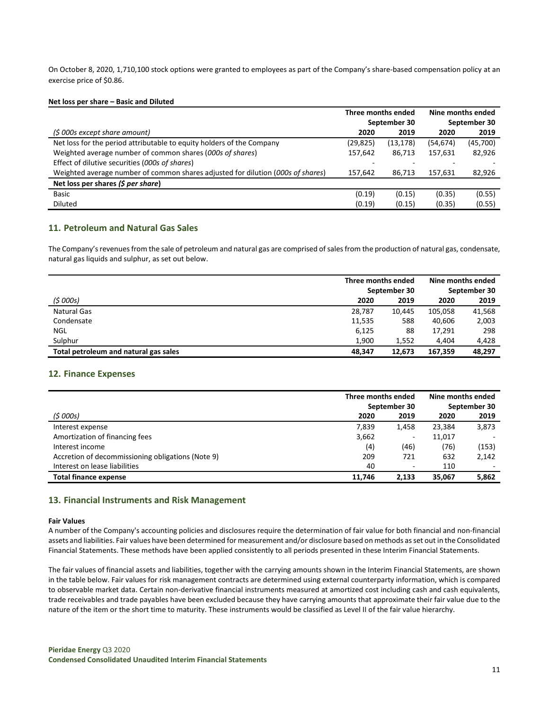On October 8, 2020, 1,710,100 stock options were granted to employees as part of the Company's share-based compensation policy at an exercise price of \$0.86.

#### **Net loss per share – Basic and Diluted**

|                                                                                 | Three months ended |              | Nine months ended |          |
|---------------------------------------------------------------------------------|--------------------|--------------|-------------------|----------|
|                                                                                 |                    | September 30 | September 30      |          |
| (\$ 000s except share amount)                                                   | 2020               | 2019         | 2020              | 2019     |
| Net loss for the period attributable to equity holders of the Company           | (29,825)           | (13,178)     | (54, 674)         | (45,700) |
| Weighted average number of common shares (000s of shares)                       | 157,642            | 86,713       | 157,631           | 82,926   |
| Effect of dilutive securities (000s of shares)                                  |                    |              |                   |          |
| Weighted average number of common shares adjusted for dilution (000s of shares) | 157.642            | 86.713       | 157.631           | 82,926   |
| Net loss per shares $(5$ per share)                                             |                    |              |                   |          |
| <b>Basic</b>                                                                    | (0.19)             | (0.15)       | (0.35)            | (0.55)   |
| <b>Diluted</b>                                                                  | (0.19)             | (0.15)       | (0.35)            | (0.55)   |

### **11. Petroleum and Natural Gas Sales**

The Company's revenues from the sale of petroleum and natural gas are comprised of sales from the production of natural gas, condensate, natural gas liquids and sulphur, as set out below.

|                                       | Three months ended |              | Nine months ended |        |
|---------------------------------------|--------------------|--------------|-------------------|--------|
|                                       |                    | September 30 | September 30      |        |
| (5000s)                               | 2020               | 2019         | 2020              | 2019   |
| Natural Gas                           | 28.787             | 10.445       | 105.058           | 41,568 |
| Condensate                            | 11,535             | 588          | 40.606            | 2,003  |
| <b>NGL</b>                            | 6,125              | 88           | 17,291            | 298    |
| Sulphur                               | 1.900              | 1,552        | 4,404             | 4,428  |
| Total petroleum and natural gas sales | 48.347             | 12.673       | 167.359           | 48,297 |

#### **12. Finance Expenses**

|                                                   | Three months ended |                              | Nine months ended |       |
|---------------------------------------------------|--------------------|------------------------------|-------------------|-------|
|                                                   |                    | September 30                 | September 30      |       |
| (5000s)                                           | 2020               | 2019                         | 2020              | 2019  |
| Interest expense                                  | 7,839              | 1,458                        | 23,384            | 3,873 |
| Amortization of financing fees                    | 3,662              | $\qquad \qquad \blacksquare$ | 11,017            |       |
| Interest income                                   | (4)                | (46)                         | (76)              | (153) |
| Accretion of decommissioning obligations (Note 9) | 209                | 721                          | 632               | 2,142 |
| Interest on lease liabilities                     | 40                 | $\qquad \qquad -$            | 110               |       |
| <b>Total finance expense</b>                      | 11.746             | 2.133                        | 35.067            | 5,862 |

### **13. Financial Instruments and Risk Management**

#### **Fair Values**

A number of the Company's accounting policies and disclosures require the determination of fair value for both financial and non-financial assets and liabilities. Fair values have been determined for measurement and/or disclosure based on methods as set out in the Consolidated Financial Statements. These methods have been applied consistently to all periods presented in these Interim Financial Statements.

The fair values of financial assets and liabilities, together with the carrying amounts shown in the Interim Financial Statements, are shown in the table below. Fair values for risk management contracts are determined using external counterparty information, which is compared to observable market data. Certain non-derivative financial instruments measured at amortized cost including cash and cash equivalents, trade receivables and trade payables have been excluded because they have carrying amounts that approximate their fair value due to the nature of the item or the short time to maturity. These instruments would be classified as Level II of the fair value hierarchy.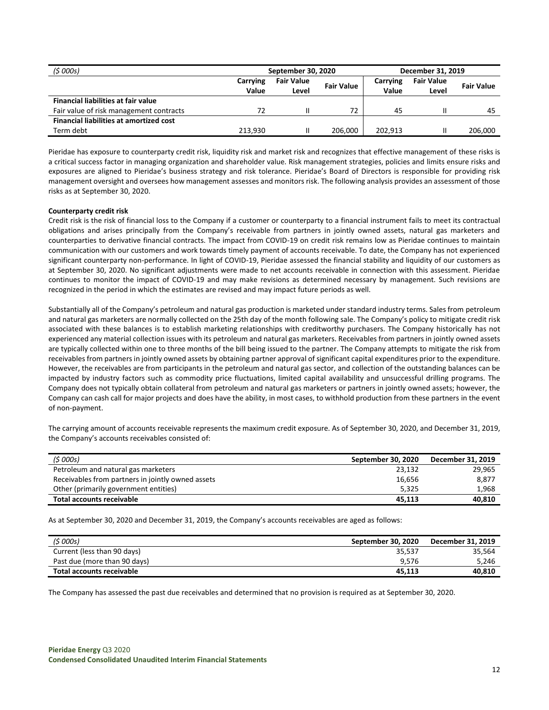| (5000s)                                        | September 30, 2020 |                            |                   | December 31, 2019 |                            |                   |
|------------------------------------------------|--------------------|----------------------------|-------------------|-------------------|----------------------------|-------------------|
|                                                | Carrying<br>Value  | <b>Fair Value</b><br>Level | <b>Fair Value</b> | Carrying<br>Value | <b>Fair Value</b><br>Level | <b>Fair Value</b> |
| <b>Financial liabilities at fair value</b>     |                    |                            |                   |                   |                            |                   |
| Fair value of risk management contracts        | 72                 |                            | 72                | 45                |                            | 45                |
| <b>Financial liabilities at amortized cost</b> |                    |                            |                   |                   |                            |                   |
| Term debt                                      | 213.930            |                            | 206.000           | 202.913           |                            | 206,000           |

Pieridae has exposure to counterparty credit risk, liquidity risk and market risk and recognizes that effective management of these risks is a critical success factor in managing organization and shareholder value. Risk management strategies, policies and limits ensure risks and exposures are aligned to Pieridae's business strategy and risk tolerance. Pieridae's Board of Directors is responsible for providing risk management oversight and oversees how management assesses and monitors risk. The following analysis provides an assessment of those risks as at September 30, 2020.

#### **Counterparty credit risk**

Credit risk is the risk of financial loss to the Company if a customer or counterparty to a financial instrument fails to meet its contractual obligations and arises principally from the Company's receivable from partners in jointly owned assets, natural gas marketers and counterparties to derivative financial contracts. The impact from COVID-19 on credit risk remains low as Pieridae continues to maintain communication with our customers and work towards timely payment of accounts receivable. To date, the Company has not experienced significant counterparty non-performance. In light of COVID-19, Pieridae assessed the financial stability and liquidity of our customers as at September 30, 2020. No significant adjustments were made to net accounts receivable in connection with this assessment. Pieridae continues to monitor the impact of COVID-19 and may make revisions as determined necessary by management. Such revisions are recognized in the period in which the estimates are revised and may impact future periods as well.

Substantially all of the Company's petroleum and natural gas production is marketed under standard industry terms. Sales from petroleum and natural gas marketers are normally collected on the 25th day of the month following sale. The Company's policy to mitigate credit risk associated with these balances is to establish marketing relationships with creditworthy purchasers. The Company historically has not experienced any material collection issues with its petroleum and natural gas marketers. Receivables from partners in jointly owned assets are typically collected within one to three months of the bill being issued to the partner. The Company attempts to mitigate the risk from receivables from partners in jointly owned assets by obtaining partner approval of significant capital expenditures prior to the expenditure. However, the receivables are from participants in the petroleum and natural gas sector, and collection of the outstanding balances can be impacted by industry factors such as commodity price fluctuations, limited capital availability and unsuccessful drilling programs. The Company does not typically obtain collateral from petroleum and natural gas marketers or partners in jointly owned assets; however, the Company can cash call for major projects and does have the ability, in most cases, to withhold production from these partners in the event of non-payment.

The carrying amount of accounts receivable represents the maximum credit exposure. As of September 30, 2020, and December 31, 2019, the Company's accounts receivables consisted of:

| (5000s)                                           | September 30, 2020 | December 31, 2019 |
|---------------------------------------------------|--------------------|-------------------|
| Petroleum and natural gas marketers               | 23,132             | 29,965            |
| Receivables from partners in jointly owned assets | 16,656             | 8.877             |
| Other (primarily government entities)             | 5.325              | 1.968             |
| Total accounts receivable                         | 45.113             | 40,810            |

As at September 30, 2020 and December 31, 2019, the Company's accounts receivables are aged as follows:

| (\$ 000s)                    | September 30, 2020 | December 31, 2019 |
|------------------------------|--------------------|-------------------|
| Current (less than 90 days)  | 35,537             | 35.564            |
| Past due (more than 90 days) | 9.576              | 5.246             |
| Total accounts receivable    | 45.113             | 40,810            |

The Company has assessed the past due receivables and determined that no provision is required as at September 30, 2020.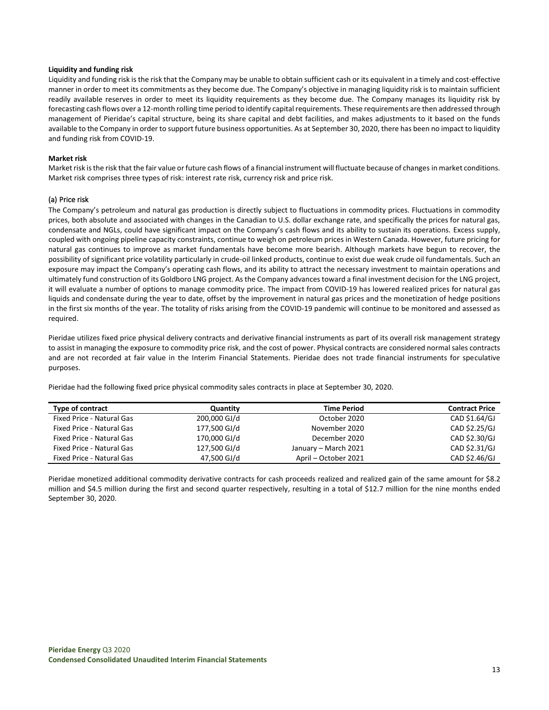#### **Liquidity and funding risk**

Liquidity and funding risk is the risk that the Company may be unable to obtain sufficient cash or its equivalent in a timely and cost-effective manner in order to meet its commitments as they become due. The Company's objective in managing liquidity risk is to maintain sufficient readily available reserves in order to meet its liquidity requirements as they become due. The Company manages its liquidity risk by forecasting cash flows over a 12-month rolling time period to identify capital requirements. These requirements are then addressed through management of Pieridae's capital structure, being its share capital and debt facilities, and makes adjustments to it based on the funds available to the Company in order to support future business opportunities. As at September 30, 2020, there has been no impact to liquidity and funding risk from COVID-19.

#### **Market risk**

Market risk is the risk that the fair value or future cash flows of a financial instrument will fluctuate because of changes in market conditions. Market risk comprises three types of risk: interest rate risk, currency risk and price risk.

#### (a) Price risk

The Company's petroleum and natural gas production is directly subject to fluctuations in commodity prices. Fluctuations in commodity prices, both absolute and associated with changes in the Canadian to U.S. dollar exchange rate, and specifically the prices for natural gas, condensate and NGLs, could have significant impact on the Company's cash flows and its ability to sustain its operations. Excess supply, coupled with ongoing pipeline capacity constraints, continue to weigh on petroleum prices in Western Canada. However, future pricing for natural gas continues to improve as market fundamentals have become more bearish. Although markets have begun to recover, the possibility of significant price volatility particularly in crude-oil linked products, continue to exist due weak crude oil fundamentals. Such an exposure may impact the Company's operating cash flows, and its ability to attract the necessary investment to maintain operations and ultimately fund construction of its Goldboro LNG project. As the Company advances toward a final investment decision for the LNG project, it will evaluate a number of options to manage commodity price. The impact from COVID-19 has lowered realized prices for natural gas liquids and condensate during the year to date, offset by the improvement in natural gas prices and the monetization of hedge positions in the first six months of the year. The totality of risks arising from the COVID-19 pandemic will continue to be monitored and assessed as required.

Pieridae utilizes fixed price physical delivery contracts and derivative financial instruments as part of its overall risk management strategy to assist in managing the exposure to commodity price risk, and the cost of power. Physical contracts are considered normal sales contracts and are not recorded at fair value in the Interim Financial Statements. Pieridae does not trade financial instruments for speculative purposes.

Pieridae had the following fixed price physical commodity sales contracts in place at September 30, 2020.

| Type of contract          | Quantity     | <b>Time Period</b>   | <b>Contract Price</b> |
|---------------------------|--------------|----------------------|-----------------------|
| Fixed Price - Natural Gas | 200,000 GJ/d | October 2020         | CAD \$1.64/GJ         |
| Fixed Price - Natural Gas | 177,500 GJ/d | November 2020        | CAD \$2.25/GJ         |
| Fixed Price - Natural Gas | 170,000 GJ/d | December 2020        | CAD \$2.30/GJ         |
| Fixed Price - Natural Gas | 127,500 GJ/d | January - March 2021 | CAD \$2.31/GJ         |
| Fixed Price - Natural Gas | 47,500 GJ/d  | April – October 2021 | CAD \$2.46/GJ         |

Pieridae monetized additional commodity derivative contracts for cash proceeds realized and realized gain of the same amount for \$8.2 million and \$4.5 million during the first and second quarter respectively, resulting in a total of \$12.7 million for the nine months ended September 30, 2020.